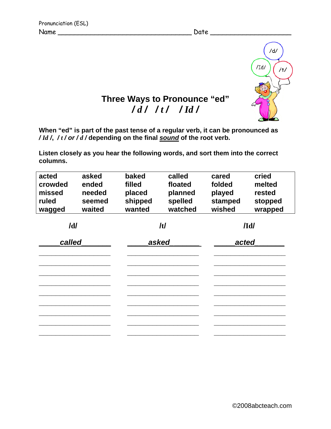

## **Three Ways to Pronounce "ed"**  */ d / / t / / Id /*

**When "ed" is part of the past tense of a regular verb, it can be pronounced as**  */ Id /***,** */ t / or / d /* **depending on the final** *sound* **of the root verb.** 

**Listen closely as you hear the following words, and sort them into the correct columns.** 

| acted<br>crowded<br>missed<br>ruled<br>wagged | asked<br>ended<br>needed<br>seemed<br>waited | baked<br>filled<br>placed<br>shipped<br>wanted | called<br>floated<br>planned<br>spelled<br>watched | cared<br>folded<br>played<br>stamped<br>wished | cried<br>melted<br>rested<br>stopped<br>wrapped |
|-----------------------------------------------|----------------------------------------------|------------------------------------------------|----------------------------------------------------|------------------------------------------------|-------------------------------------------------|
| /d/                                           |                                              | /t/                                            |                                                    | /Id/                                           |                                                 |
| called                                        |                                              | asked                                          |                                                    | acted                                          |                                                 |
|                                               |                                              |                                                |                                                    |                                                |                                                 |
|                                               |                                              |                                                |                                                    |                                                |                                                 |
|                                               |                                              |                                                |                                                    |                                                |                                                 |
|                                               |                                              |                                                |                                                    |                                                |                                                 |
|                                               |                                              |                                                |                                                    |                                                |                                                 |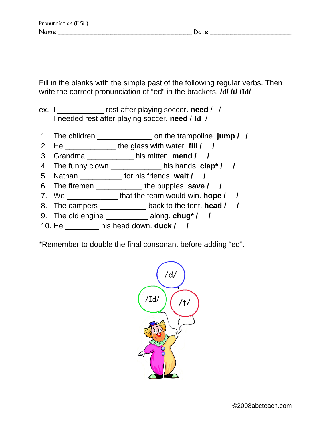Fill in the blanks with the simple past of the following regular verbs. Then write the correct pronunciation of "ed" in the brackets. **/d/ /t/ /Id/** 

ex. I \_\_\_\_\_\_\_\_\_\_\_ rest after playing soccer. **need** / / I needed rest after playing soccer. **need** / **Id** /

- 1. The children **\_\_\_ \_\_\_** on the trampoline. **jump / /**
- 2. He \_\_\_\_\_\_\_\_\_\_\_\_ the glass with water. **fill / /**
- 3. Grandma \_\_\_\_\_\_\_\_\_\_\_ his mitten. **mend / /**
- 4. The funny clown \_\_\_\_\_\_\_\_\_\_\_\_ his hands. **clap\* / /**
- 5. Nathan \_\_\_\_\_\_\_\_\_\_ for his friends. **wait / /**
- 6. The firemen \_\_\_\_\_\_\_\_\_\_\_ the puppies. **save / /**
- 7. We \_\_\_\_\_\_\_\_\_\_\_\_ that the team would win. **hope / /**
- 8. The campers \_\_\_\_\_\_\_\_\_\_\_ back to the tent. **head / /**
- 9. The old engine \_\_\_\_\_\_\_\_\_\_ along. **chug\* / /**
- 10. He \_\_\_\_\_\_\_\_ his head down. **duck / /**

\*Remember to double the final consonant before adding "ed".